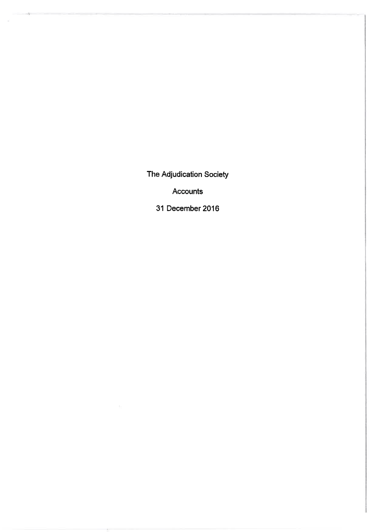The Adjudication Society

 $\hat{\mathcal{D}}$ 

 $\sim$ 

Accounts

31 December 2016

Ť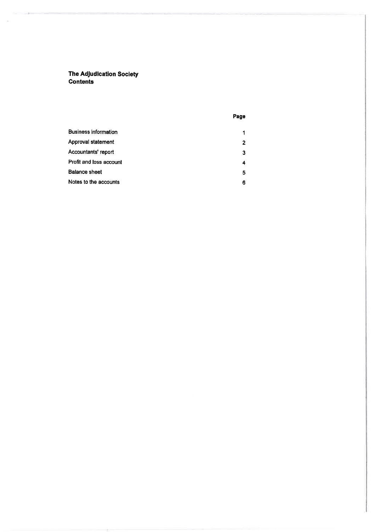The Adludlcation Society Gontents

×

## Page

| <b>Business information</b> | 1              |
|-----------------------------|----------------|
| Approval statement          | $\overline{2}$ |
| Accountants' report         | 3              |
| Profit and loss account     | 4              |
| <b>Balance sheet</b>        | 5              |
| Notes to the accounts       | 6              |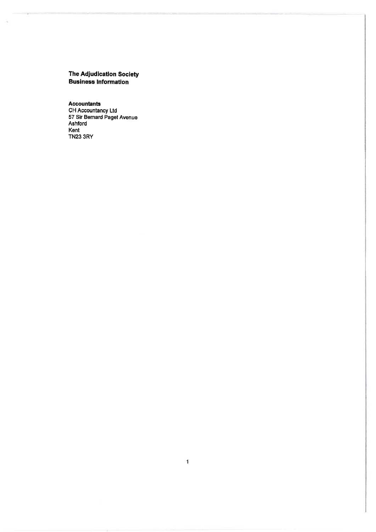# The Adjudication Society<br>Business Information

 $\tilde{\gamma}_0$ 

**Accountants** CH Accountancy<br>CH Accountancy Ltd<br>57 Sir Bernard Paget Avenue<br>Ashford Kent **TN23 3RY**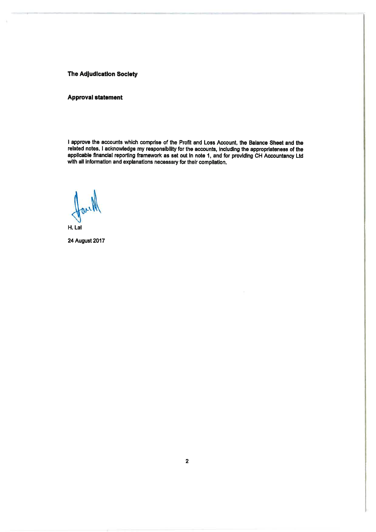## **The Adjudication Society**

## **Approval statement**

I approve the accounts which comprise of the Profit and Loss Account, the Balance Sheet and the related notes. I acknowledge my responsibility for the accounts, including the appropriateness of the applicable financial reporting framework as set out in note 1, and for providing CH Accountancy Ltd with all information and explanations necessary for their compilation.

H. Lal

**24 August 2017**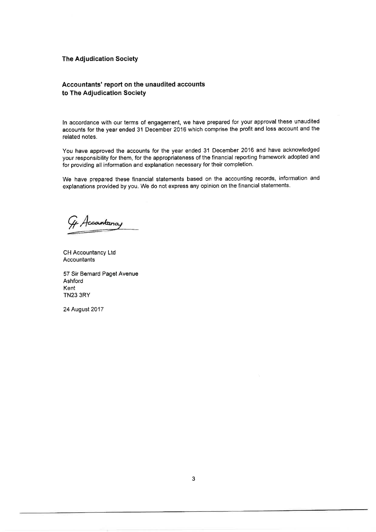## **The Adjudication Society**

# Accountants' report on the unaudited accounts to The Adjudication Society

ln accordance with our terms of engagement, we have prepared for your approval these unaudited accounts for the year ended 31 December 2016 which comprise the profit and loss account and the related notes.

You have approved the accounts for the year ended 31 December 2016 and have acknowledged your responsibility for them, for the appropriateness of the financial reporting framework adopted and for providing all information and explanation necessary for theír completion,

We have prepared these financial statements based on the accounting records, information and explanations provided by you, We do not express any opinion on the financial statements.

Gy Accountainay

CH Accountancy Ltd Accountants

57 Sir Bernard Paget Avenue Ashford Kent TN23 3RY

24 August 2017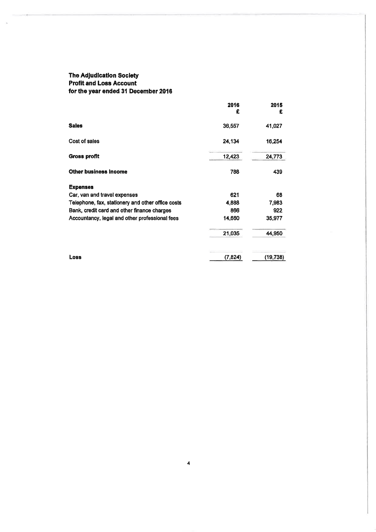# The AdJudlcatlon Soclety Profit and Loss Account for the year ended 3l December 2016

 $\lambda$ 

|                                                   | 2016<br>£ | 2015<br>£ |
|---------------------------------------------------|-----------|-----------|
| <b>Sales</b>                                      | 36,557    | 41,027    |
| Cost of sales                                     | 24.134    | 16,254    |
| <b>Gross profit</b>                               | 12,423    | 24,773    |
| <b>Other business Income</b>                      | 788       | 439       |
| <b>Expenses</b>                                   |           |           |
| Car, van and travel expenses                      | 621       | 68        |
| Telephone, fax, stationery and other office costs | 4,888     | 7,983     |
| Bank, credit card and other finance charges       | 866       | 922       |
| Accountancy, legal and other professional fees    | 14,660    | 35,977    |
|                                                   | 21,035    | 44,950    |
| <b>Loss</b>                                       | (7,824)   | (19, 738) |